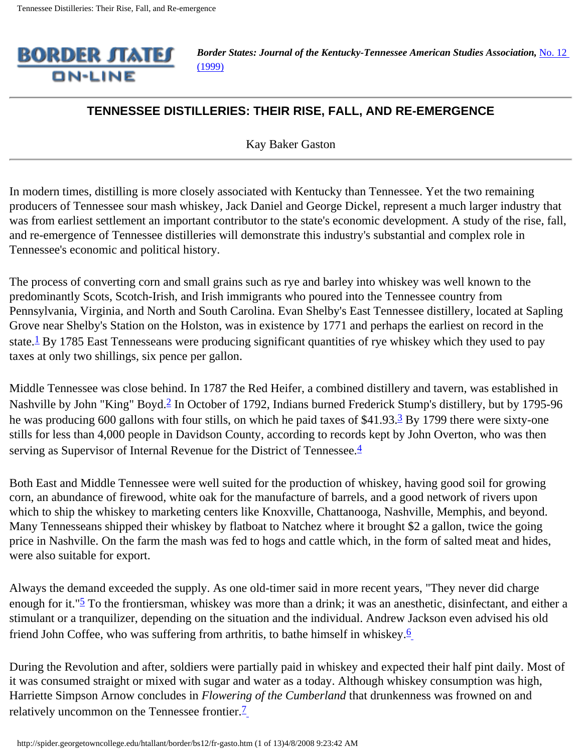

*Border States: Journal of the Kentucky-Tennessee American Studies Association, No. 12* [\(1999\)](http://spider.georgetowncollege.edu/htallant/border/bs12tabl.htm)

## **TENNESSEE DISTILLERIES: THEIR RISE, FALL, AND RE-EMERGENCE**

Kay Baker Gaston

In modern times, distilling is more closely associated with Kentucky than Tennessee. Yet the two remaining producers of Tennessee sour mash whiskey, Jack Daniel and George Dickel, represent a much larger industry that was from earliest settlement an important contributor to the state's economic development. A study of the rise, fall, and re-emergence of Tennessee distilleries will demonstrate this industry's substantial and complex role in Tennessee's economic and political history.

The process of converting corn and small grains such as rye and barley into whiskey was well known to the predominantly Scots, Scotch-Irish, and Irish immigrants who poured into the Tennessee country from Pennsylvania, Virginia, and North and South Carolina. Evan Shelby's East Tennessee distillery, located at Sapling Grove near Shelby's Station on the Holston, was in existence by 1771 and perhaps the earliest on record in the state.<sup>1</sup> By 1785 East Tennesseans were producing significant quantities of rye whiskey which they used to pay taxes at only two shillings, six pence per gallon.

Middle Tennessee was close behind. In 1787 the Red Heifer, a combined distillery and tavern, was established in Nashville by John "King" Boyd.<sup>2</sup> In October of 1792, Indians burned Frederick Stump's distillery, but by 1795-96 he was producing 600 gallons with four stills, on which he paid taxes of \$41.93.<sup>3</sup> By 1799 there were sixty-one stills for less than 4,000 people in Davidson County, according to records kept by John Overton, who was then serving as Supervisor of Internal Revenue for the District of Tennessee.<sup>4</sup>

Both East and Middle Tennessee were well suited for the production of whiskey, having good soil for growing corn, an abundance of firewood, white oak for the manufacture of barrels, and a good network of rivers upon which to ship the whiskey to marketing centers like Knoxville, Chattanooga, Nashville, Memphis, and beyond. Many Tennesseans shipped their whiskey by flatboat to Natchez where it brought \$2 a gallon, twice the going price in Nashville. On the farm the mash was fed to hogs and cattle which, in the form of salted meat and hides, were also suitable for export.

Always the demand exceeded the supply. As one old-timer said in more recent years, "They never did charge enough for it."<sup>5</sup> To the frontiersman, whiskey was more than a drink; it was an anesthetic, disinfectant, and either a stimulant or a tranquilizer, depending on the situation and the individual. Andrew Jackson even advised his old friend John Coffee, who was suffering from arthritis, to bathe himself in whiskey.[6](#page-11-5)

During the Revolution and after, soldiers were partially paid in whiskey and expected their half pint daily. Most of it was consumed straight or mixed with sugar and water as a today. Although whiskey consumption was high, Harriette Simpson Arnow concludes in *Flowering of the Cumberland* that drunkenness was frowned on and relatively uncommon on the Tennessee frontier. $\frac{7}{1}$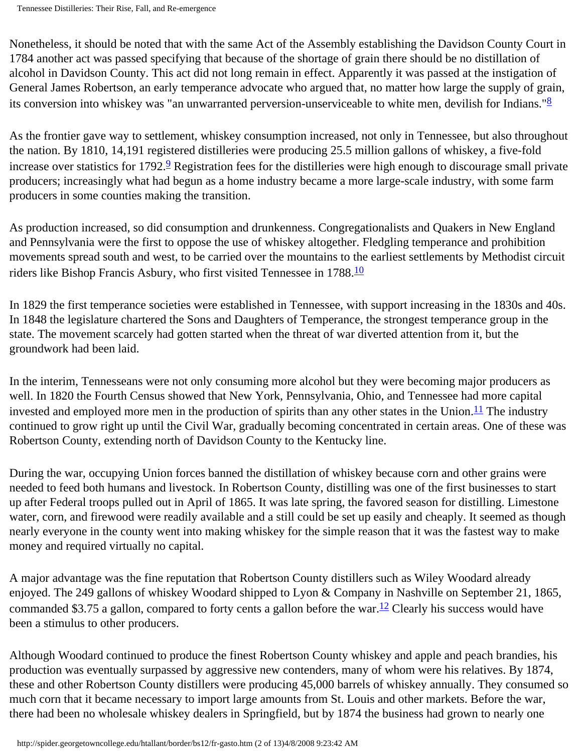Nonetheless, it should be noted that with the same Act of the Assembly establishing the Davidson County Court in 1784 another act was passed specifying that because of the shortage of grain there should be no distillation of alcohol in Davidson County. This act did not long remain in effect. Apparently it was passed at the instigation of General James Robertson, an early temperance advocate who argued that, no matter how large the supply of grain, its conversion into whiskey was "an unwarranted perversion-unserviceable to white men, devilish for Indians."<sup>8</sup>

As the frontier gave way to settlement, whiskey consumption increased, not only in Tennessee, but also throughout the nation. By 1810, 14,191 registered distilleries were producing 25.5 million gallons of whiskey, a five-fold increase over statistics for 1792.<sup>9</sup> Registration fees for the distilleries were high enough to discourage small private producers; increasingly what had begun as a home industry became a more large-scale industry, with some farm producers in some counties making the transition.

As production increased, so did consumption and drunkenness. Congregationalists and Quakers in New England and Pennsylvania were the first to oppose the use of whiskey altogether. Fledgling temperance and prohibition movements spread south and west, to be carried over the mountains to the earliest settlements by Methodist circuit riders like Bishop Francis Asbury, who first visited Tennessee in 1788.<sup>10</sup>

In 1829 the first temperance societies were established in Tennessee, with support increasing in the 1830s and 40s. In 1848 the legislature chartered the Sons and Daughters of Temperance, the strongest temperance group in the state. The movement scarcely had gotten started when the threat of war diverted attention from it, but the groundwork had been laid.

In the interim, Tennesseans were not only consuming more alcohol but they were becoming major producers as well. In 1820 the Fourth Census showed that New York, Pennsylvania, Ohio, and Tennessee had more capital invested and employed more men in the production of spirits than any other states in the Union.<sup>11</sup> The industry continued to grow right up until the Civil War, gradually becoming concentrated in certain areas. One of these was Robertson County, extending north of Davidson County to the Kentucky line.

During the war, occupying Union forces banned the distillation of whiskey because corn and other grains were needed to feed both humans and livestock. In Robertson County, distilling was one of the first businesses to start up after Federal troops pulled out in April of 1865. It was late spring, the favored season for distilling. Limestone water, corn, and firewood were readily available and a still could be set up easily and cheaply. It seemed as though nearly everyone in the county went into making whiskey for the simple reason that it was the fastest way to make money and required virtually no capital.

A major advantage was the fine reputation that Robertson County distillers such as Wiley Woodard already enjoyed. The 249 gallons of whiskey Woodard shipped to Lyon & Company in Nashville on September 21, 1865, commanded \$3.75 a gallon, compared to forty cents a gallon before the war.<sup>12</sup> Clearly his success would have been a stimulus to other producers.

Although Woodard continued to produce the finest Robertson County whiskey and apple and peach brandies, his production was eventually surpassed by aggressive new contenders, many of whom were his relatives. By 1874, these and other Robertson County distillers were producing 45,000 barrels of whiskey annually. They consumed so much corn that it became necessary to import large amounts from St. Louis and other markets. Before the war, there had been no wholesale whiskey dealers in Springfield, but by 1874 the business had grown to nearly one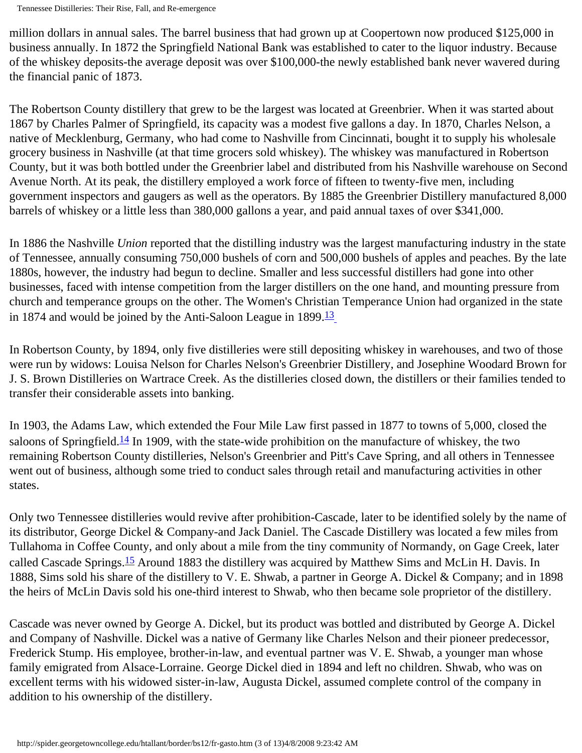million dollars in annual sales. The barrel business that had grown up at Coopertown now produced \$125,000 in business annually. In 1872 the Springfield National Bank was established to cater to the liquor industry. Because of the whiskey deposits-the average deposit was over \$100,000-the newly established bank never wavered during the financial panic of 1873.

The Robertson County distillery that grew to be the largest was located at Greenbrier. When it was started about 1867 by Charles Palmer of Springfield, its capacity was a modest five gallons a day. In 1870, Charles Nelson, a native of Mecklenburg, Germany, who had come to Nashville from Cincinnati, bought it to supply his wholesale grocery business in Nashville (at that time grocers sold whiskey). The whiskey was manufactured in Robertson County, but it was both bottled under the Greenbrier label and distributed from his Nashville warehouse on Second Avenue North. At its peak, the distillery employed a work force of fifteen to twenty-five men, including government inspectors and gaugers as well as the operators. By 1885 the Greenbrier Distillery manufactured 8,000 barrels of whiskey or a little less than 380,000 gallons a year, and paid annual taxes of over \$341,000.

In 1886 the Nashville *Union* reported that the distilling industry was the largest manufacturing industry in the state of Tennessee, annually consuming 750,000 bushels of corn and 500,000 bushels of apples and peaches. By the late 1880s, however, the industry had begun to decline. Smaller and less successful distillers had gone into other businesses, faced with intense competition from the larger distillers on the one hand, and mounting pressure from church and temperance groups on the other. The Women's Christian Temperance Union had organized in the state in 1874 and would be joined by the Anti-Saloon League in  $1899.\overline{13}$  $1899.\overline{13}$  $1899.\overline{13}$ 

In Robertson County, by 1894, only five distilleries were still depositing whiskey in warehouses, and two of those were run by widows: Louisa Nelson for Charles Nelson's Greenbrier Distillery, and Josephine Woodard Brown for J. S. Brown Distilleries on Wartrace Creek. As the distilleries closed down, the distillers or their families tended to transfer their considerable assets into banking.

In 1903, the Adams Law, which extended the Four Mile Law first passed in 1877 to towns of 5,000, closed the saloons of Springfield.<sup>14</sup> In 1909, with the state-wide prohibition on the manufacture of whiskey, the two remaining Robertson County distilleries, Nelson's Greenbrier and Pitt's Cave Spring, and all others in Tennessee went out of business, although some tried to conduct sales through retail and manufacturing activities in other states.

Only two Tennessee distilleries would revive after prohibition-Cascade, later to be identified solely by the name of its distributor, George Dickel & Company-and Jack Daniel. The Cascade Distillery was located a few miles from Tullahoma in Coffee County, and only about a mile from the tiny community of Normandy, on Gage Creek, later called Cascade Springs.<sup>15</sup> Around 1883 the distillery was acquired by Matthew Sims and McLin H. Davis. In 1888, Sims sold his share of the distillery to V. E. Shwab, a partner in George A. Dickel & Company; and in 1898 the heirs of McLin Davis sold his one-third interest to Shwab, who then became sole proprietor of the distillery.

Cascade was never owned by George A. Dickel, but its product was bottled and distributed by George A. Dickel and Company of Nashville. Dickel was a native of Germany like Charles Nelson and their pioneer predecessor, Frederick Stump. His employee, brother-in-law, and eventual partner was V. E. Shwab, a younger man whose family emigrated from Alsace-Lorraine. George Dickel died in 1894 and left no children. Shwab, who was on excellent terms with his widowed sister-in-law, Augusta Dickel, assumed complete control of the company in addition to his ownership of the distillery.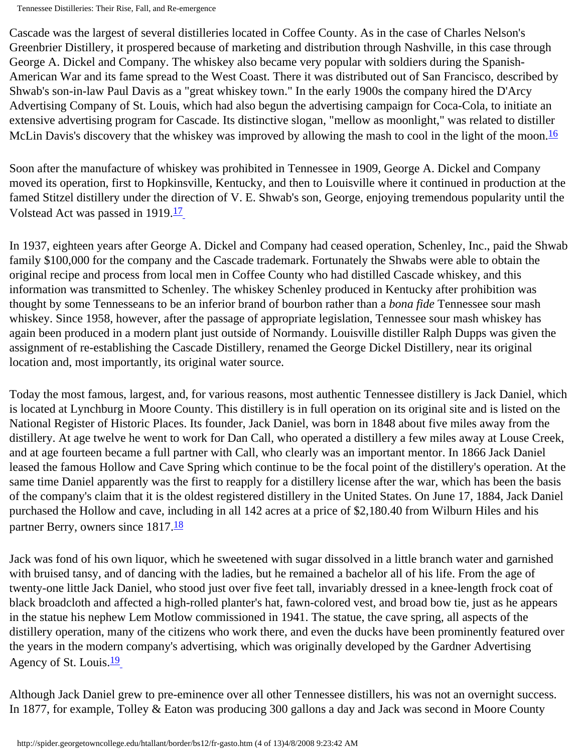Tennessee Distilleries: Their Rise, Fall, and Re-emergence

Cascade was the largest of several distilleries located in Coffee County. As in the case of Charles Nelson's Greenbrier Distillery, it prospered because of marketing and distribution through Nashville, in this case through George A. Dickel and Company. The whiskey also became very popular with soldiers during the Spanish-American War and its fame spread to the West Coast. There it was distributed out of San Francisco, described by Shwab's son-in-law Paul Davis as a "great whiskey town." In the early 1900s the company hired the D'Arcy Advertising Company of St. Louis, which had also begun the advertising campaign for Coca-Cola, to initiate an extensive advertising program for Cascade. Its distinctive slogan, "mellow as moonlight," was related to distiller McLin Davis's discovery that the whiskey was improved by allowing the mash to cool in the light of the moon.<sup>[16](#page-12-4)</sup>

Soon after the manufacture of whiskey was prohibited in Tennessee in 1909, George A. Dickel and Company moved its operation, first to Hopkinsville, Kentucky, and then to Louisville where it continued in production at the famed Stitzel distillery under the direction of V. E. Shwab's son, George, enjoying tremendous popularity until the Volstead Act was passed in 1919.<sup>17</sup>

In 1937, eighteen years after George A. Dickel and Company had ceased operation, Schenley, Inc., paid the Shwab family \$100,000 for the company and the Cascade trademark. Fortunately the Shwabs were able to obtain the original recipe and process from local men in Coffee County who had distilled Cascade whiskey, and this information was transmitted to Schenley. The whiskey Schenley produced in Kentucky after prohibition was thought by some Tennesseans to be an inferior brand of bourbon rather than a *bona fide* Tennessee sour mash whiskey. Since 1958, however, after the passage of appropriate legislation, Tennessee sour mash whiskey has again been produced in a modern plant just outside of Normandy. Louisville distiller Ralph Dupps was given the assignment of re-establishing the Cascade Distillery, renamed the George Dickel Distillery, near its original location and, most importantly, its original water source.

Today the most famous, largest, and, for various reasons, most authentic Tennessee distillery is Jack Daniel, which is located at Lynchburg in Moore County. This distillery is in full operation on its original site and is listed on the National Register of Historic Places. Its founder, Jack Daniel, was born in 1848 about five miles away from the distillery. At age twelve he went to work for Dan Call, who operated a distillery a few miles away at Louse Creek, and at age fourteen became a full partner with Call, who clearly was an important mentor. In 1866 Jack Daniel leased the famous Hollow and Cave Spring which continue to be the focal point of the distillery's operation. At the same time Daniel apparently was the first to reapply for a distillery license after the war, which has been the basis of the company's claim that it is the oldest registered distillery in the United States. On June 17, 1884, Jack Daniel purchased the Hollow and cave, including in all 142 acres at a price of \$2,180.40 from Wilburn Hiles and his partner Berry, owners since 1817.<sup>18</sup>

Jack was fond of his own liquor, which he sweetened with sugar dissolved in a little branch water and garnished with bruised tansy, and of dancing with the ladies, but he remained a bachelor all of his life. From the age of twenty-one little Jack Daniel, who stood just over five feet tall, invariably dressed in a knee-length frock coat of black broadcloth and affected a high-rolled planter's hat, fawn-colored vest, and broad bow tie, just as he appears in the statue his nephew Lem Motlow commissioned in 1941. The statue, the cave spring, all aspects of the distillery operation, many of the citizens who work there, and even the ducks have been prominently featured over the years in the modern company's advertising, which was originally developed by the Gardner Advertising Agency of St. Louis.<sup>[19](#page-12-7)</sup>

Although Jack Daniel grew to pre-eminence over all other Tennessee distillers, his was not an overnight success. In 1877, for example, Tolley & Eaton was producing 300 gallons a day and Jack was second in Moore County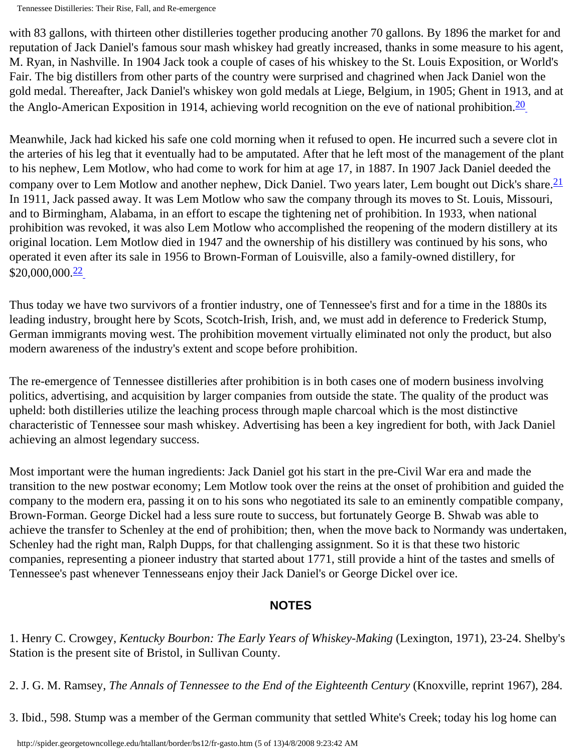Tennessee Distilleries: Their Rise, Fall, and Re-emergence

with 83 gallons, with thirteen other distilleries together producing another 70 gallons. By 1896 the market for and reputation of Jack Daniel's famous sour mash whiskey had greatly increased, thanks in some measure to his agent, M. Ryan, in Nashville. In 1904 Jack took a couple of cases of his whiskey to the St. Louis Exposition, or World's Fair. The big distillers from other parts of the country were surprised and chagrined when Jack Daniel won the gold medal. Thereafter, Jack Daniel's whiskey won gold medals at Liege, Belgium, in 1905; Ghent in 1913, and at the Anglo-American Exposition in 1914, achieving world recognition on the eve of national prohibition.  $\frac{20}{20}$ 

Meanwhile, Jack had kicked his safe one cold morning when it refused to open. He incurred such a severe clot in the arteries of his leg that it eventually had to be amputated. After that he left most of the management of the plant to his nephew, Lem Motlow, who had come to work for him at age 17, in 1887. In 1907 Jack Daniel deeded the company over to Lem Motlow and another nephew, Dick Daniel. Two years later, Lem bought out Dick's share.<sup>21</sup> In 1911, Jack passed away. It was Lem Motlow who saw the company through its moves to St. Louis, Missouri, and to Birmingham, Alabama, in an effort to escape the tightening net of prohibition. In 1933, when national prohibition was revoked, it was also Lem Motlow who accomplished the reopening of the modern distillery at its original location. Lem Motlow died in 1947 and the ownership of his distillery was continued by his sons, who operated it even after its sale in 1956 to Brown-Forman of Louisville, also a family-owned distillery, for \$20,000,000.[22](#page-12-10)

Thus today we have two survivors of a frontier industry, one of Tennessee's first and for a time in the 1880s its leading industry, brought here by Scots, Scotch-Irish, Irish, and, we must add in deference to Frederick Stump, German immigrants moving west. The prohibition movement virtually eliminated not only the product, but also modern awareness of the industry's extent and scope before prohibition.

The re-emergence of Tennessee distilleries after prohibition is in both cases one of modern business involving politics, advertising, and acquisition by larger companies from outside the state. The quality of the product was upheld: both distilleries utilize the leaching process through maple charcoal which is the most distinctive characteristic of Tennessee sour mash whiskey. Advertising has been a key ingredient for both, with Jack Daniel achieving an almost legendary success.

Most important were the human ingredients: Jack Daniel got his start in the pre-Civil War era and made the transition to the new postwar economy; Lem Motlow took over the reins at the onset of prohibition and guided the company to the modern era, passing it on to his sons who negotiated its sale to an eminently compatible company, Brown-Forman. George Dickel had a less sure route to success, but fortunately George B. Shwab was able to achieve the transfer to Schenley at the end of prohibition; then, when the move back to Normandy was undertaken, Schenley had the right man, Ralph Dupps, for that challenging assignment. So it is that these two historic companies, representing a pioneer industry that started about 1771, still provide a hint of the tastes and smells of Tennessee's past whenever Tennesseans enjoy their Jack Daniel's or George Dickel over ice.

## **NOTES**

1. Henry C. Crowgey, *Kentucky Bourbon: The Early Years of Whiskey-Making* (Lexington, 1971), 23-24. Shelby's Station is the present site of Bristol, in Sullivan County.

2. J. G. M. Ramsey, *The Annals of Tennessee to the End of the Eighteenth Century* (Knoxville, reprint 1967), 284.

3. Ibid., 598. Stump was a member of the German community that settled White's Creek; today his log home can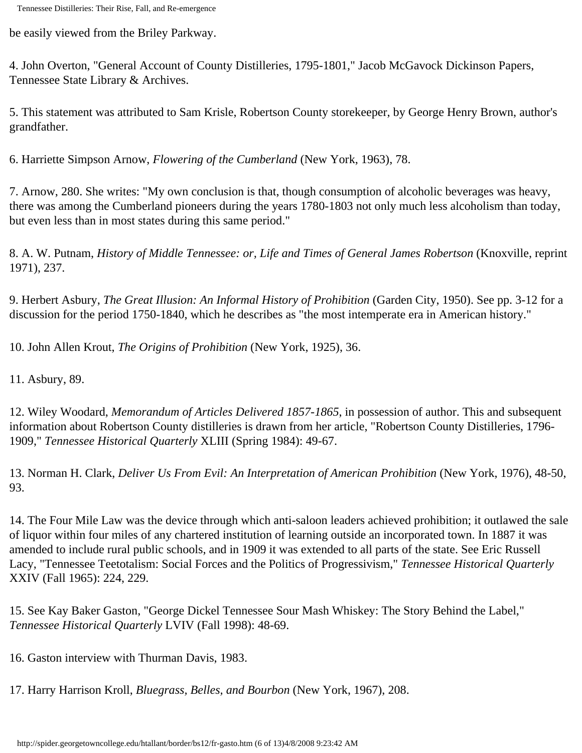be easily viewed from the Briley Parkway.

4. John Overton, "General Account of County Distilleries, 1795-1801," Jacob McGavock Dickinson Papers, Tennessee State Library & Archives.

5. This statement was attributed to Sam Krisle, Robertson County storekeeper, by George Henry Brown, author's grandfather.

6. Harriette Simpson Arnow, *Flowering of the Cumberland* (New York, 1963), 78.

7. Arnow, 280. She writes: "My own conclusion is that, though consumption of alcoholic beverages was heavy, there was among the Cumberland pioneers during the years 1780-1803 not only much less alcoholism than today, but even less than in most states during this same period."

8. A. W. Putnam, *History of Middle Tennessee: or, Life and Times of General James Robertson* (Knoxville, reprint 1971), 237.

9. Herbert Asbury, *The Great Illusion: An Informal History of Prohibition* (Garden City, 1950). See pp. 3-12 for a discussion for the period 1750-1840, which he describes as "the most intemperate era in American history."

10. John Allen Krout, *The Origins of Prohibition* (New York, 1925), 36.

11. Asbury, 89.

12. Wiley Woodard, *Memorandum of Articles Delivered 1857-1865*, in possession of author. This and subsequent information about Robertson County distilleries is drawn from her article, "Robertson County Distilleries, 1796- 1909," *Tennessee Historical Quarterly* XLIII (Spring 1984): 49-67.

13. Norman H. Clark, *Deliver Us From Evil: An Interpretation of American Prohibition* (New York, 1976), 48-50, 93.

14. The Four Mile Law was the device through which anti-saloon leaders achieved prohibition; it outlawed the sale of liquor within four miles of any chartered institution of learning outside an incorporated town. In 1887 it was amended to include rural public schools, and in 1909 it was extended to all parts of the state. See Eric Russell Lacy, "Tennessee Teetotalism: Social Forces and the Politics of Progressivism," *Tennessee Historical Quarterly* XXIV (Fall 1965): 224, 229.

15. See Kay Baker Gaston, "George Dickel Tennessee Sour Mash Whiskey: The Story Behind the Label," *Tennessee Historical Quarterly* LVIV (Fall 1998): 48-69.

16. Gaston interview with Thurman Davis, 1983.

17. Harry Harrison Kroll, *Bluegrass, Belles, and Bourbon* (New York, 1967), 208.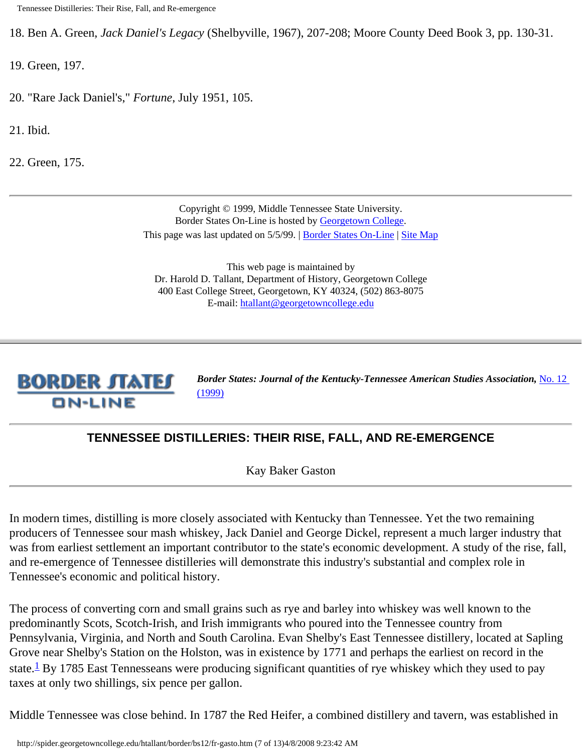18. Ben A. Green, *Jack Daniel's Legacy* (Shelbyville, 1967), 207-208; Moore County Deed Book 3, pp. 130-31.

19. Green, 197.

- 20. "Rare Jack Daniel's," *Fortune*, July 1951, 105.
- 21. Ibid.
- 22. Green, 175.

Copyright © 1999, Middle Tennessee State University. Border States On-Line is hosted by [Georgetown College.](http://www.georgetowncollege.edu/) This page was last updated on 5/5/99. | [Border States On-Line](http://spider.georgetowncollege.edu/htallant/border/Index.htm) | [Site Map](http://spider.georgetowncollege.edu/htallant/index.htm)

This web page is maintained by Dr. Harold D. Tallant, Department of History, Georgetown College 400 East College Street, Georgetown, KY 40324, (502) 863-8075 E-mail: [htallant@georgetowncollege.edu](mailto:htallant@georgetowncollege.edu)



*Border States: Journal of the Kentucky-Tennessee American Studies Association, No. 12* [\(1999\)](http://spider.georgetowncollege.edu/htallant/border/bs12tabl.htm)

## **TENNESSEE DISTILLERIES: THEIR RISE, FALL, AND RE-EMERGENCE**

Kay Baker Gaston

In modern times, distilling is more closely associated with Kentucky than Tennessee. Yet the two remaining producers of Tennessee sour mash whiskey, Jack Daniel and George Dickel, represent a much larger industry that was from earliest settlement an important contributor to the state's economic development. A study of the rise, fall, and re-emergence of Tennessee distilleries will demonstrate this industry's substantial and complex role in Tennessee's economic and political history.

The process of converting corn and small grains such as rye and barley into whiskey was well known to the predominantly Scots, Scotch-Irish, and Irish immigrants who poured into the Tennessee country from Pennsylvania, Virginia, and North and South Carolina. Evan Shelby's East Tennessee distillery, located at Sapling Grove near Shelby's Station on the Holston, was in existence by 1771 and perhaps the earliest on record in the state.<sup>1</sup> By 1785 East Tennesseans were producing significant quantities of rye whiskey which they used to pay taxes at only two shillings, six pence per gallon.

Middle Tennessee was close behind. In 1787 the Red Heifer, a combined distillery and tavern, was established in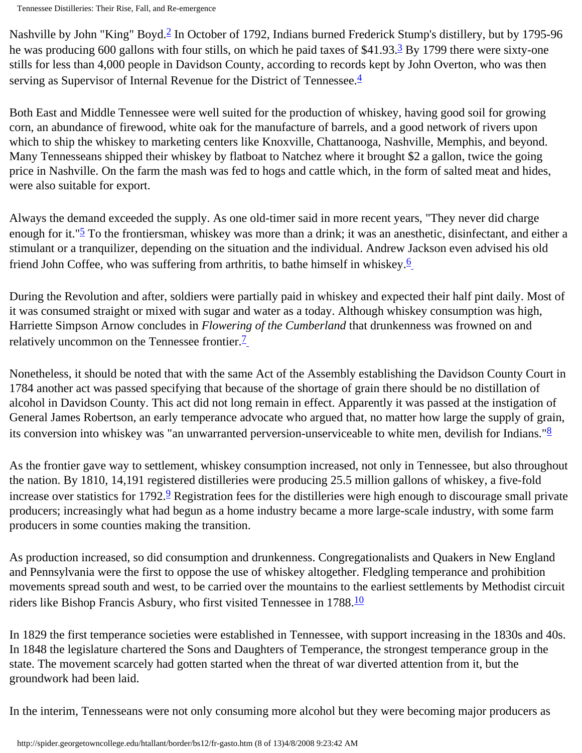Tennessee Distilleries: Their Rise, Fall, and Re-emergence

Nashville by John "King" Boyd.<sup>[2](#page-11-1)</sup> In October of 1792, Indians burned Frederick Stump's distillery, but by 1795-96 he was producing 600 gallons with four stills, on which he paid taxes of \$41.93.<sup>3</sup> By 1799 there were sixty-one stills for less than 4,000 people in Davidson County, according to records kept by John Overton, who was then serving as Supervisor of Internal Revenue for the District of Tennessee.<sup>4</sup>

Both East and Middle Tennessee were well suited for the production of whiskey, having good soil for growing corn, an abundance of firewood, white oak for the manufacture of barrels, and a good network of rivers upon which to ship the whiskey to marketing centers like Knoxville, Chattanooga, Nashville, Memphis, and beyond. Many Tennesseans shipped their whiskey by flatboat to Natchez where it brought \$2 a gallon, twice the going price in Nashville. On the farm the mash was fed to hogs and cattle which, in the form of salted meat and hides, were also suitable for export.

Always the demand exceeded the supply. As one old-timer said in more recent years, "They never did charge enough for it."<sup>5</sup> To the frontiersman, whiskey was more than a drink; it was an anesthetic, disinfectant, and either a stimulant or a tranquilizer, depending on the situation and the individual. Andrew Jackson even advised his old friend John Coffee, who was suffering from arthritis, to bathe himself in whiskey.<sup>[6](#page-11-5)</sup>

During the Revolution and after, soldiers were partially paid in whiskey and expected their half pint daily. Most of it was consumed straight or mixed with sugar and water as a today. Although whiskey consumption was high, Harriette Simpson Arnow concludes in *Flowering of the Cumberland* that drunkenness was frowned on and relatively uncommon on the Tennessee frontier. $\frac{7}{2}$ 

Nonetheless, it should be noted that with the same Act of the Assembly establishing the Davidson County Court in 1784 another act was passed specifying that because of the shortage of grain there should be no distillation of alcohol in Davidson County. This act did not long remain in effect. Apparently it was passed at the instigation of General James Robertson, an early temperance advocate who argued that, no matter how large the supply of grain, its conversion into whiskey was "an unwarranted perversion-unserviceable to white men, devilish for Indians."<sup>8</sup>

As the frontier gave way to settlement, whiskey consumption increased, not only in Tennessee, but also throughout the nation. By 1810, 14,191 registered distilleries were producing 25.5 million gallons of whiskey, a five-fold increase over statistics for 1792.<sup>9</sup> Registration fees for the distilleries were high enough to discourage small private producers; increasingly what had begun as a home industry became a more large-scale industry, with some farm producers in some counties making the transition.

As production increased, so did consumption and drunkenness. Congregationalists and Quakers in New England and Pennsylvania were the first to oppose the use of whiskey altogether. Fledgling temperance and prohibition movements spread south and west, to be carried over the mountains to the earliest settlements by Methodist circuit riders like Bishop Francis Asbury, who first visited Tennessee in 1788.<sup>10</sup>

In 1829 the first temperance societies were established in Tennessee, with support increasing in the 1830s and 40s. In 1848 the legislature chartered the Sons and Daughters of Temperance, the strongest temperance group in the state. The movement scarcely had gotten started when the threat of war diverted attention from it, but the groundwork had been laid.

In the interim, Tennesseans were not only consuming more alcohol but they were becoming major producers as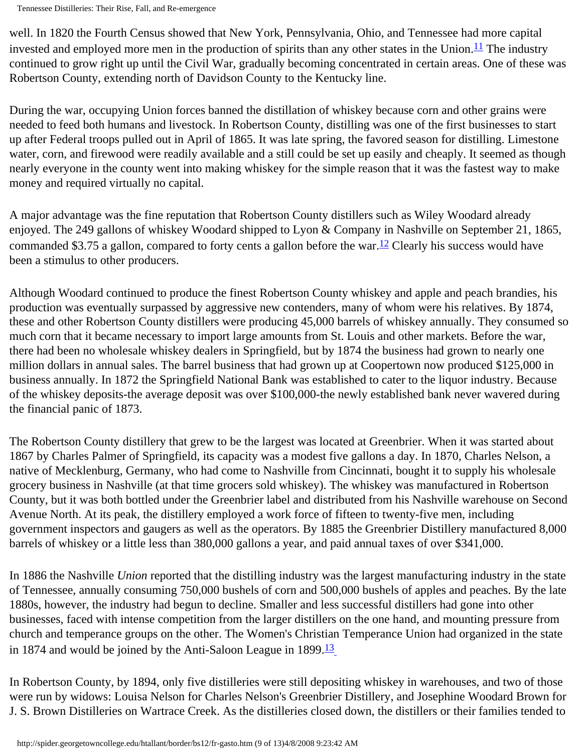Tennessee Distilleries: Their Rise, Fall, and Re-emergence

well. In 1820 the Fourth Census showed that New York, Pennsylvania, Ohio, and Tennessee had more capital invested and employed more men in the production of spirits than any other states in the Union.<sup>11</sup> The industry continued to grow right up until the Civil War, gradually becoming concentrated in certain areas. One of these was Robertson County, extending north of Davidson County to the Kentucky line.

During the war, occupying Union forces banned the distillation of whiskey because corn and other grains were needed to feed both humans and livestock. In Robertson County, distilling was one of the first businesses to start up after Federal troops pulled out in April of 1865. It was late spring, the favored season for distilling. Limestone water, corn, and firewood were readily available and a still could be set up easily and cheaply. It seemed as though nearly everyone in the county went into making whiskey for the simple reason that it was the fastest way to make money and required virtually no capital.

A major advantage was the fine reputation that Robertson County distillers such as Wiley Woodard already enjoyed. The 249 gallons of whiskey Woodard shipped to Lyon & Company in Nashville on September 21, 1865, commanded \$3.75 a gallon, compared to forty cents a gallon before the war.<sup>12</sup> Clearly his success would have been a stimulus to other producers.

Although Woodard continued to produce the finest Robertson County whiskey and apple and peach brandies, his production was eventually surpassed by aggressive new contenders, many of whom were his relatives. By 1874, these and other Robertson County distillers were producing 45,000 barrels of whiskey annually. They consumed so much corn that it became necessary to import large amounts from St. Louis and other markets. Before the war, there had been no wholesale whiskey dealers in Springfield, but by 1874 the business had grown to nearly one million dollars in annual sales. The barrel business that had grown up at Coopertown now produced \$125,000 in business annually. In 1872 the Springfield National Bank was established to cater to the liquor industry. Because of the whiskey deposits-the average deposit was over \$100,000-the newly established bank never wavered during the financial panic of 1873.

The Robertson County distillery that grew to be the largest was located at Greenbrier. When it was started about 1867 by Charles Palmer of Springfield, its capacity was a modest five gallons a day. In 1870, Charles Nelson, a native of Mecklenburg, Germany, who had come to Nashville from Cincinnati, bought it to supply his wholesale grocery business in Nashville (at that time grocers sold whiskey). The whiskey was manufactured in Robertson County, but it was both bottled under the Greenbrier label and distributed from his Nashville warehouse on Second Avenue North. At its peak, the distillery employed a work force of fifteen to twenty-five men, including government inspectors and gaugers as well as the operators. By 1885 the Greenbrier Distillery manufactured 8,000 barrels of whiskey or a little less than 380,000 gallons a year, and paid annual taxes of over \$341,000.

In 1886 the Nashville *Union* reported that the distilling industry was the largest manufacturing industry in the state of Tennessee, annually consuming 750,000 bushels of corn and 500,000 bushels of apples and peaches. By the late 1880s, however, the industry had begun to decline. Smaller and less successful distillers had gone into other businesses, faced with intense competition from the larger distillers on the one hand, and mounting pressure from church and temperance groups on the other. The Women's Christian Temperance Union had organized in the state in 1874 and would be joined by the Anti-Saloon League in  $1899.\overline{13}$  $1899.\overline{13}$  $1899.\overline{13}$ 

In Robertson County, by 1894, only five distilleries were still depositing whiskey in warehouses, and two of those were run by widows: Louisa Nelson for Charles Nelson's Greenbrier Distillery, and Josephine Woodard Brown for J. S. Brown Distilleries on Wartrace Creek. As the distilleries closed down, the distillers or their families tended to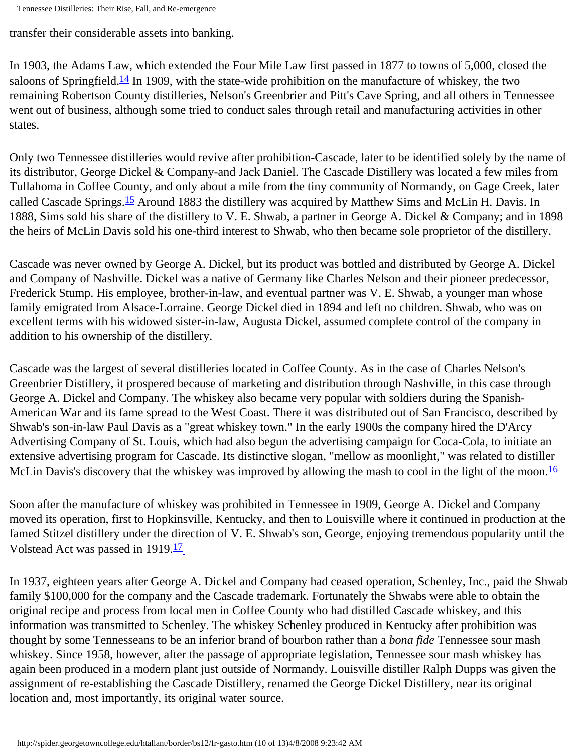Tennessee Distilleries: Their Rise, Fall, and Re-emergence

transfer their considerable assets into banking.

In 1903, the Adams Law, which extended the Four Mile Law first passed in 1877 to towns of 5,000, closed the saloons of Springfield.<sup>14</sup> In 1909, with the state-wide prohibition on the manufacture of whiskey, the two remaining Robertson County distilleries, Nelson's Greenbrier and Pitt's Cave Spring, and all others in Tennessee went out of business, although some tried to conduct sales through retail and manufacturing activities in other states.

Only two Tennessee distilleries would revive after prohibition-Cascade, later to be identified solely by the name of its distributor, George Dickel & Company-and Jack Daniel. The Cascade Distillery was located a few miles from Tullahoma in Coffee County, and only about a mile from the tiny community of Normandy, on Gage Creek, later called Cascade Springs[.15](#page-12-3) Around 1883 the distillery was acquired by Matthew Sims and McLin H. Davis. In 1888, Sims sold his share of the distillery to V. E. Shwab, a partner in George A. Dickel & Company; and in 1898 the heirs of McLin Davis sold his one-third interest to Shwab, who then became sole proprietor of the distillery.

Cascade was never owned by George A. Dickel, but its product was bottled and distributed by George A. Dickel and Company of Nashville. Dickel was a native of Germany like Charles Nelson and their pioneer predecessor, Frederick Stump. His employee, brother-in-law, and eventual partner was V. E. Shwab, a younger man whose family emigrated from Alsace-Lorraine. George Dickel died in 1894 and left no children. Shwab, who was on excellent terms with his widowed sister-in-law, Augusta Dickel, assumed complete control of the company in addition to his ownership of the distillery.

Cascade was the largest of several distilleries located in Coffee County. As in the case of Charles Nelson's Greenbrier Distillery, it prospered because of marketing and distribution through Nashville, in this case through George A. Dickel and Company. The whiskey also became very popular with soldiers during the Spanish-American War and its fame spread to the West Coast. There it was distributed out of San Francisco, described by Shwab's son-in-law Paul Davis as a "great whiskey town." In the early 1900s the company hired the D'Arcy Advertising Company of St. Louis, which had also begun the advertising campaign for Coca-Cola, to initiate an extensive advertising program for Cascade. Its distinctive slogan, "mellow as moonlight," was related to distiller McLin Davis's discovery that the whiskey was improved by allowing the mash to cool in the light of the moon. [16](#page-12-4)

Soon after the manufacture of whiskey was prohibited in Tennessee in 1909, George A. Dickel and Company moved its operation, first to Hopkinsville, Kentucky, and then to Louisville where it continued in production at the famed Stitzel distillery under the direction of V. E. Shwab's son, George, enjoying tremendous popularity until the Volstead Act was passed in 1919.<sup>17</sup>

In 1937, eighteen years after George A. Dickel and Company had ceased operation, Schenley, Inc., paid the Shwab family \$100,000 for the company and the Cascade trademark. Fortunately the Shwabs were able to obtain the original recipe and process from local men in Coffee County who had distilled Cascade whiskey, and this information was transmitted to Schenley. The whiskey Schenley produced in Kentucky after prohibition was thought by some Tennesseans to be an inferior brand of bourbon rather than a *bona fide* Tennessee sour mash whiskey. Since 1958, however, after the passage of appropriate legislation, Tennessee sour mash whiskey has again been produced in a modern plant just outside of Normandy. Louisville distiller Ralph Dupps was given the assignment of re-establishing the Cascade Distillery, renamed the George Dickel Distillery, near its original location and, most importantly, its original water source.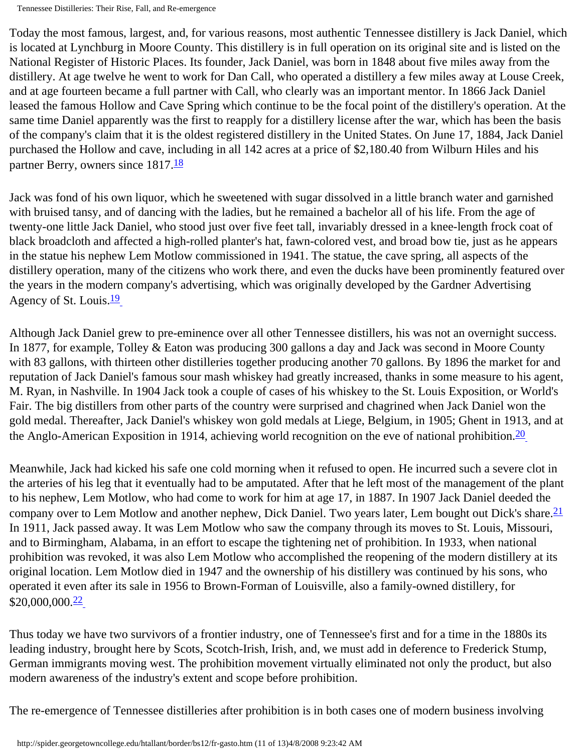Tennessee Distilleries: Their Rise, Fall, and Re-emergence

Today the most famous, largest, and, for various reasons, most authentic Tennessee distillery is Jack Daniel, which is located at Lynchburg in Moore County. This distillery is in full operation on its original site and is listed on the National Register of Historic Places. Its founder, Jack Daniel, was born in 1848 about five miles away from the distillery. At age twelve he went to work for Dan Call, who operated a distillery a few miles away at Louse Creek, and at age fourteen became a full partner with Call, who clearly was an important mentor. In 1866 Jack Daniel leased the famous Hollow and Cave Spring which continue to be the focal point of the distillery's operation. At the same time Daniel apparently was the first to reapply for a distillery license after the war, which has been the basis of the company's claim that it is the oldest registered distillery in the United States. On June 17, 1884, Jack Daniel purchased the Hollow and cave, including in all 142 acres at a price of \$2,180.40 from Wilburn Hiles and his partner Berry, owners since 1817.<sup>18</sup>

Jack was fond of his own liquor, which he sweetened with sugar dissolved in a little branch water and garnished with bruised tansy, and of dancing with the ladies, but he remained a bachelor all of his life. From the age of twenty-one little Jack Daniel, who stood just over five feet tall, invariably dressed in a knee-length frock coat of black broadcloth and affected a high-rolled planter's hat, fawn-colored vest, and broad bow tie, just as he appears in the statue his nephew Lem Motlow commissioned in 1941. The statue, the cave spring, all aspects of the distillery operation, many of the citizens who work there, and even the ducks have been prominently featured over the years in the modern company's advertising, which was originally developed by the Gardner Advertising Agency of St. Louis. $\frac{19}{1}$  $\frac{19}{1}$  $\frac{19}{1}$ 

Although Jack Daniel grew to pre-eminence over all other Tennessee distillers, his was not an overnight success. In 1877, for example, Tolley & Eaton was producing 300 gallons a day and Jack was second in Moore County with 83 gallons, with thirteen other distilleries together producing another 70 gallons. By 1896 the market for and reputation of Jack Daniel's famous sour mash whiskey had greatly increased, thanks in some measure to his agent, M. Ryan, in Nashville. In 1904 Jack took a couple of cases of his whiskey to the St. Louis Exposition, or World's Fair. The big distillers from other parts of the country were surprised and chagrined when Jack Daniel won the gold medal. Thereafter, Jack Daniel's whiskey won gold medals at Liege, Belgium, in 1905; Ghent in 1913, and at the Anglo-American Exposition in 1914, achieving world recognition on the eve of national prohibition.  $\frac{20}{20}$ 

Meanwhile, Jack had kicked his safe one cold morning when it refused to open. He incurred such a severe clot in the arteries of his leg that it eventually had to be amputated. After that he left most of the management of the plant to his nephew, Lem Motlow, who had come to work for him at age 17, in 1887. In 1907 Jack Daniel deeded the company over to Lem Motlow and another nephew, Dick Daniel. Two years later, Lem bought out Dick's share.<sup>21</sup> In 1911, Jack passed away. It was Lem Motlow who saw the company through its moves to St. Louis, Missouri, and to Birmingham, Alabama, in an effort to escape the tightening net of prohibition. In 1933, when national prohibition was revoked, it was also Lem Motlow who accomplished the reopening of the modern distillery at its original location. Lem Motlow died in 1947 and the ownership of his distillery was continued by his sons, who operated it even after its sale in 1956 to Brown-Forman of Louisville, also a family-owned distillery, for  $$20,000,000.\overline{22}$  $$20,000,000.\overline{22}$  $$20,000,000.\overline{22}$ 

Thus today we have two survivors of a frontier industry, one of Tennessee's first and for a time in the 1880s its leading industry, brought here by Scots, Scotch-Irish, Irish, and, we must add in deference to Frederick Stump, German immigrants moving west. The prohibition movement virtually eliminated not only the product, but also modern awareness of the industry's extent and scope before prohibition.

The re-emergence of Tennessee distilleries after prohibition is in both cases one of modern business involving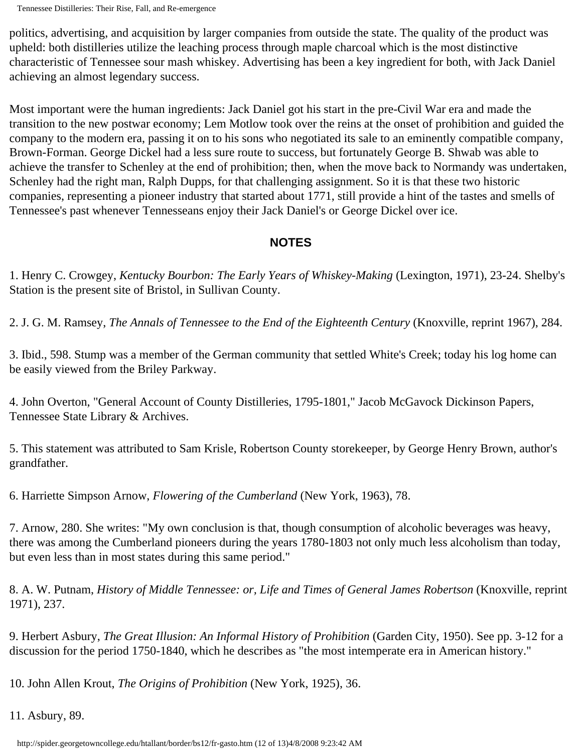Tennessee Distilleries: Their Rise, Fall, and Re-emergence

politics, advertising, and acquisition by larger companies from outside the state. The quality of the product was upheld: both distilleries utilize the leaching process through maple charcoal which is the most distinctive characteristic of Tennessee sour mash whiskey. Advertising has been a key ingredient for both, with Jack Daniel achieving an almost legendary success.

Most important were the human ingredients: Jack Daniel got his start in the pre-Civil War era and made the transition to the new postwar economy; Lem Motlow took over the reins at the onset of prohibition and guided the company to the modern era, passing it on to his sons who negotiated its sale to an eminently compatible company, Brown-Forman. George Dickel had a less sure route to success, but fortunately George B. Shwab was able to achieve the transfer to Schenley at the end of prohibition; then, when the move back to Normandy was undertaken, Schenley had the right man, Ralph Dupps, for that challenging assignment. So it is that these two historic companies, representing a pioneer industry that started about 1771, still provide a hint of the tastes and smells of Tennessee's past whenever Tennesseans enjoy their Jack Daniel's or George Dickel over ice.

## **NOTES**

<span id="page-11-0"></span>1. Henry C. Crowgey, *Kentucky Bourbon: The Early Years of Whiskey-Making* (Lexington, 1971), 23-24. Shelby's Station is the present site of Bristol, in Sullivan County.

<span id="page-11-1"></span>2. J. G. M. Ramsey, *The Annals of Tennessee to the End of the Eighteenth Century* (Knoxville, reprint 1967), 284.

<span id="page-11-2"></span>3. Ibid., 598. Stump was a member of the German community that settled White's Creek; today his log home can be easily viewed from the Briley Parkway.

<span id="page-11-3"></span>4. John Overton, "General Account of County Distilleries, 1795-1801," Jacob McGavock Dickinson Papers, Tennessee State Library & Archives.

<span id="page-11-4"></span>5. This statement was attributed to Sam Krisle, Robertson County storekeeper, by George Henry Brown, author's grandfather.

<span id="page-11-5"></span>6. Harriette Simpson Arnow, *Flowering of the Cumberland* (New York, 1963), 78.

<span id="page-11-6"></span>7. Arnow, 280. She writes: "My own conclusion is that, though consumption of alcoholic beverages was heavy, there was among the Cumberland pioneers during the years 1780-1803 not only much less alcoholism than today, but even less than in most states during this same period."

<span id="page-11-7"></span>8. A. W. Putnam, *History of Middle Tennessee: or, Life and Times of General James Robertson* (Knoxville, reprint 1971), 237.

<span id="page-11-8"></span>9. Herbert Asbury, *The Great Illusion: An Informal History of Prohibition* (Garden City, 1950). See pp. 3-12 for a discussion for the period 1750-1840, which he describes as "the most intemperate era in American history."

<span id="page-11-9"></span>10. John Allen Krout, *The Origins of Prohibition* (New York, 1925), 36.

<span id="page-11-10"></span>11. Asbury, 89.